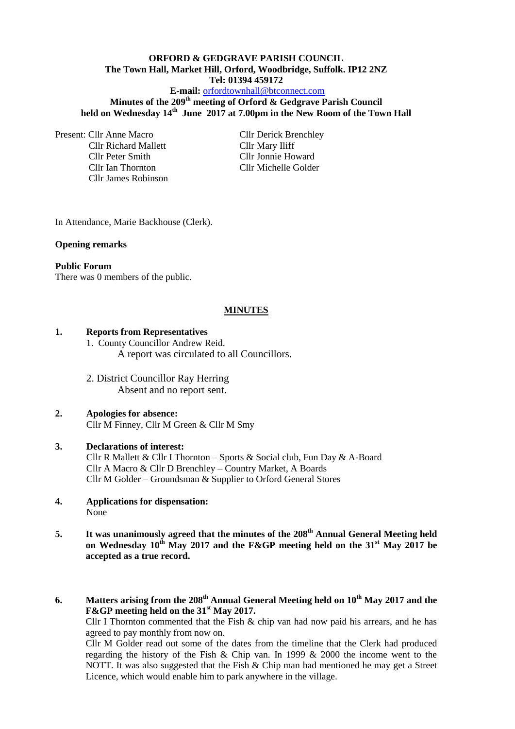# **ORFORD & GEDGRAVE PARISH COUNCIL The Town Hall, Market Hill, Orford, Woodbridge, Suffolk. IP12 2NZ Tel: 01394 459172**

**E-mail:** [orfordtownhall@btconnect.com](mailto:orfordtownhall@btconnect.com)

**Minutes of the 209th meeting of Orford & Gedgrave Parish Council held on Wednesday 14th June 2017 at 7.00pm in the New Room of the Town Hall**

Present: Cllr Anne Macro Cllr Derick Brenchley

Cllr Richard Mallett Cllr Mary Iliff Cllr Peter Smith Cllr Jonnie Howard Cllr James Robinson

Cllr Ian Thornton Cllr Michelle Golder

In Attendance, Marie Backhouse (Clerk).

#### **Opening remarks**

#### **Public Forum**

There was 0 members of the public.

#### **MINUTES**

#### **1. Reports from Representatives**

1. County Councillor Andrew Reid. A report was circulated to all Councillors.

2. District Councillor Ray Herring Absent and no report sent.

# **2. Apologies for absence:**

# Cllr M Finney, Cllr M Green & Cllr M Smy

#### **3. Declarations of interest:**

Cllr R Mallett & Cllr I Thornton – Sports & Social club, Fun Day & A-Board Cllr A Macro & Cllr D Brenchley – Country Market, A Boards Cllr M Golder – Groundsman & Supplier to Orford General Stores

- **4. Applications for dispensation:** None
- **5. It was unanimously agreed that the minutes of the 208th Annual General Meeting held on Wednesday 10th May 2017 and the F&GP meeting held on the 31st May 2017 be accepted as a true record.**

# **6. Matters arising from the 208th Annual General Meeting held on 10th May 2017 and the F&GP meeting held on the 31st May 2017.**

Cllr I Thornton commented that the Fish  $\&$  chip van had now paid his arrears, and he has agreed to pay monthly from now on.

Cllr M Golder read out some of the dates from the timeline that the Clerk had produced regarding the history of the Fish & Chip van. In 1999 & 2000 the income went to the NOTT. It was also suggested that the Fish & Chip man had mentioned he may get a Street Licence, which would enable him to park anywhere in the village.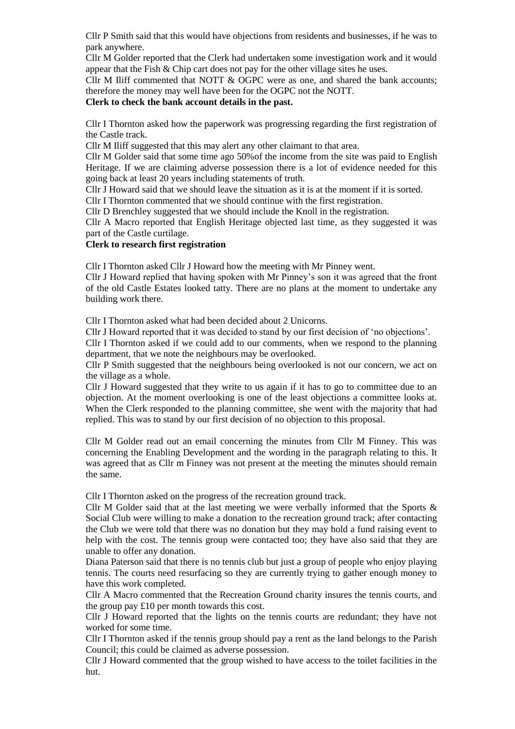Cllr P Smith said that this would have objections from residents and businesses, if he was to park anywhere.

Cllr M Golder reported that the Clerk had undertaken some investigation work and it would appear that the Fish & Chip cart does not pay for the other village sites he uses.

Cllr M Iliff commented that NOTT  $&$  OGPC were as one, and shared the bank accounts; therefore the money may well have been for the OGPC not the NOTT.

#### **Clerk to check the bank account details in the past.**

Cllr I Thornton asked how the paperwork was progressing regarding the first registration of the Castle track.

Cllr M Iliff suggested that this may alert any other claimant to that area.

Cllr M Golder said that some time ago 50%of the income from the site was paid to English Heritage. If we are claiming adverse possession there is a lot of evidence needed for this going back at least 20 years including statements of truth.

Cllr J Howard said that we should leave the situation as it is at the moment if it is sorted.

Cllr I Thornton commented that we should continue with the first registration.

Cllr D Brenchley suggested that we should include the Knoll in the registration.

Cllr A Macro reported that English Heritage objected last time, as they suggested it was part of the Castle curtilage.

#### **Clerk to research first registration**

Cllr I Thornton asked Cllr J Howard how the meeting with Mr Pinney went.

Cllr J Howard replied that having spoken with Mr Pinney's son it was agreed that the front of the old Castle Estates looked tatty. There are no plans at the moment to undertake any building work there.

Cllr I Thornton asked what had been decided about 2 Unicorns.

Cllr J Howard reported that it was decided to stand by our first decision of 'no objections'.

Cllr I Thornton asked if we could add to our comments, when we respond to the planning department, that we note the neighbours may be overlooked.

Cllr P Smith suggested that the neighbours being overlooked is not our concern, we act on the village as a whole.

Cllr J Howard suggested that they write to us again if it has to go to committee due to an objection. At the moment overlooking is one of the least objections a committee looks at. When the Clerk responded to the planning committee, she went with the majority that had replied. This was to stand by our first decision of no objection to this proposal.

Cllr M Golder read out an email concerning the minutes from Cllr M Finney. This was concerning the Enabling Development and the wording in the paragraph relating to this. It was agreed that as Cllr m Finney was not present at the meeting the minutes should remain the same.

Cllr I Thornton asked on the progress of the recreation ground track.

Cllr M Golder said that at the last meeting we were verbally informed that the Sports  $\&$ Social Club were willing to make a donation to the recreation ground track; after contacting the Club we were told that there was no donation but they may hold a fund raising event to help with the cost. The tennis group were contacted too; they have also said that they are unable to offer any donation.

Diana Paterson said that there is no tennis club but just a group of people who enjoy playing tennis. The courts need resurfacing so they are currently trying to gather enough money to have this work completed.

Cllr A Macro commented that the Recreation Ground charity insures the tennis courts, and the group pay £10 per month towards this cost.

Cllr J Howard reported that the lights on the tennis courts are redundant; they have not worked for some time.

Cllr I Thornton asked if the tennis group should pay a rent as the land belongs to the Parish Council; this could be claimed as adverse possession.

Cllr J Howard commented that the group wished to have access to the toilet facilities in the hut.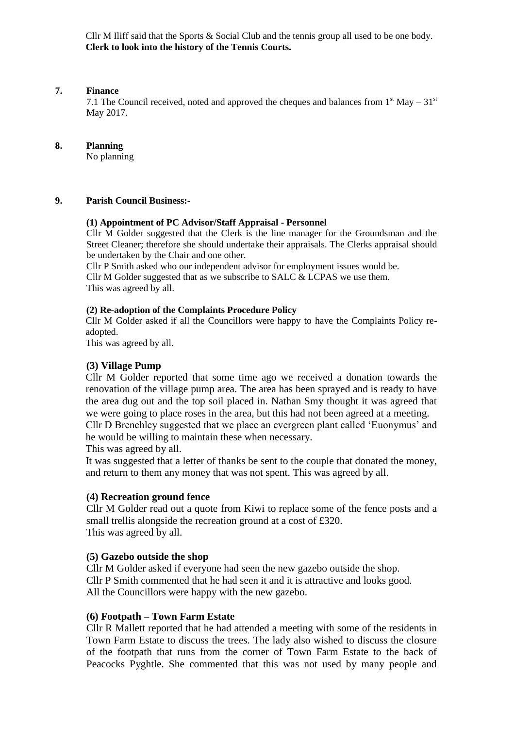Cllr M Iliff said that the Sports & Social Club and the tennis group all used to be one body. **Clerk to look into the history of the Tennis Courts.**

#### **7. Finance**

7.1 The Council received, noted and approved the cheques and balances from  $1<sup>st</sup>$  May –  $31<sup>st</sup>$ May 2017.

#### **8. Planning**

No planning

#### **9. Parish Council Business:-**

#### **(1) Appointment of PC Advisor/Staff Appraisal - Personnel**

Cllr M Golder suggested that the Clerk is the line manager for the Groundsman and the Street Cleaner; therefore she should undertake their appraisals. The Clerks appraisal should be undertaken by the Chair and one other.

Cllr P Smith asked who our independent advisor for employment issues would be. Cllr M Golder suggested that as we subscribe to SALC  $& LCPAS$  we use them. This was agreed by all.

# **(2) Re-adoption of the Complaints Procedure Policy**

Cllr M Golder asked if all the Councillors were happy to have the Complaints Policy readopted.

This was agreed by all.

# **(3) Village Pump**

Cllr M Golder reported that some time ago we received a donation towards the renovation of the village pump area. The area has been sprayed and is ready to have the area dug out and the top soil placed in. Nathan Smy thought it was agreed that we were going to place roses in the area, but this had not been agreed at a meeting. Cllr D Brenchley suggested that we place an evergreen plant called 'Euonymus' and he would be willing to maintain these when necessary.

This was agreed by all.

It was suggested that a letter of thanks be sent to the couple that donated the money, and return to them any money that was not spent. This was agreed by all.

# **(4) Recreation ground fence**

Cllr M Golder read out a quote from Kiwi to replace some of the fence posts and a small trellis alongside the recreation ground at a cost of £320. This was agreed by all.

# **(5) Gazebo outside the shop**

Cllr M Golder asked if everyone had seen the new gazebo outside the shop. Cllr P Smith commented that he had seen it and it is attractive and looks good. All the Councillors were happy with the new gazebo.

#### **(6) Footpath – Town Farm Estate**

Cllr R Mallett reported that he had attended a meeting with some of the residents in Town Farm Estate to discuss the trees. The lady also wished to discuss the closure of the footpath that runs from the corner of Town Farm Estate to the back of Peacocks Pyghtle. She commented that this was not used by many people and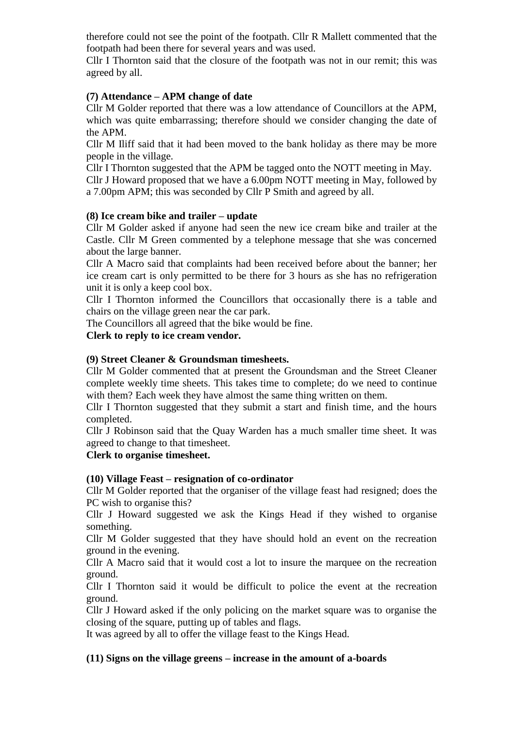therefore could not see the point of the footpath. Cllr R Mallett commented that the footpath had been there for several years and was used.

Cllr I Thornton said that the closure of the footpath was not in our remit; this was agreed by all.

# **(7) Attendance – APM change of date**

Cllr M Golder reported that there was a low attendance of Councillors at the APM, which was quite embarrassing; therefore should we consider changing the date of the APM.

Cllr M Iliff said that it had been moved to the bank holiday as there may be more people in the village.

Cllr I Thornton suggested that the APM be tagged onto the NOTT meeting in May.

Cllr J Howard proposed that we have a 6.00pm NOTT meeting in May, followed by a 7.00pm APM; this was seconded by Cllr P Smith and agreed by all.

# **(8) Ice cream bike and trailer – update**

Cllr M Golder asked if anyone had seen the new ice cream bike and trailer at the Castle. Cllr M Green commented by a telephone message that she was concerned about the large banner.

Cllr A Macro said that complaints had been received before about the banner; her ice cream cart is only permitted to be there for 3 hours as she has no refrigeration unit it is only a keep cool box.

Cllr I Thornton informed the Councillors that occasionally there is a table and chairs on the village green near the car park.

The Councillors all agreed that the bike would be fine.

**Clerk to reply to ice cream vendor.**

# **(9) Street Cleaner & Groundsman timesheets.**

Cllr M Golder commented that at present the Groundsman and the Street Cleaner complete weekly time sheets. This takes time to complete; do we need to continue with them? Each week they have almost the same thing written on them.

Cllr I Thornton suggested that they submit a start and finish time, and the hours completed.

Cllr J Robinson said that the Quay Warden has a much smaller time sheet. It was agreed to change to that timesheet.

# **Clerk to organise timesheet.**

# **(10) Village Feast – resignation of co-ordinator**

Cllr M Golder reported that the organiser of the village feast had resigned; does the PC wish to organise this?

Cllr J Howard suggested we ask the Kings Head if they wished to organise something.

Cllr M Golder suggested that they have should hold an event on the recreation ground in the evening.

Cllr A Macro said that it would cost a lot to insure the marquee on the recreation ground.

Cllr I Thornton said it would be difficult to police the event at the recreation ground.

Cllr J Howard asked if the only policing on the market square was to organise the closing of the square, putting up of tables and flags.

It was agreed by all to offer the village feast to the Kings Head.

#### **(11) Signs on the village greens – increase in the amount of a-boards**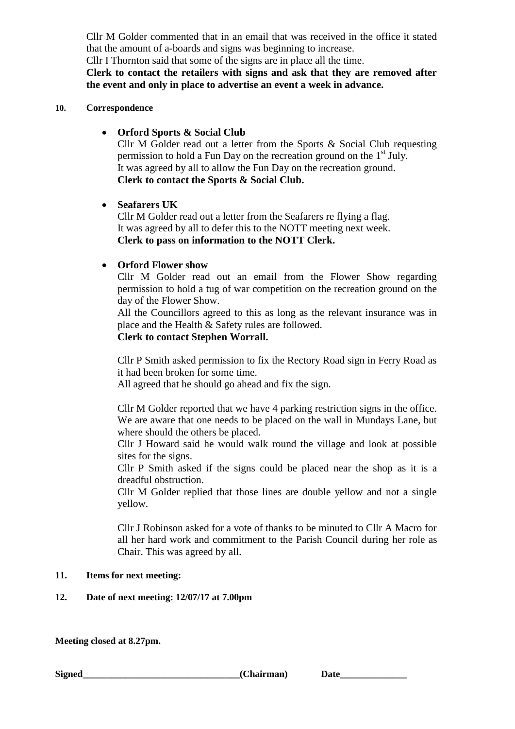Cllr M Golder commented that in an email that was received in the office it stated that the amount of a-boards and signs was beginning to increase.

Cllr I Thornton said that some of the signs are in place all the time.

**Clerk to contact the retailers with signs and ask that they are removed after the event and only in place to advertise an event a week in advance.**

# **10. Correspondence**

# **Orford Sports & Social Club**

Cllr M Golder read out a letter from the Sports & Social Club requesting permission to hold a Fun Day on the recreation ground on the  $1<sup>st</sup>$  July. It was agreed by all to allow the Fun Day on the recreation ground. **Clerk to contact the Sports & Social Club.**

# **Seafarers UK**

Cllr M Golder read out a letter from the Seafarers re flying a flag. It was agreed by all to defer this to the NOTT meeting next week. **Clerk to pass on information to the NOTT Clerk.**

# **Orford Flower show**

Cllr M Golder read out an email from the Flower Show regarding permission to hold a tug of war competition on the recreation ground on the day of the Flower Show.

All the Councillors agreed to this as long as the relevant insurance was in place and the Health & Safety rules are followed.

# **Clerk to contact Stephen Worrall.**

Cllr P Smith asked permission to fix the Rectory Road sign in Ferry Road as it had been broken for some time.

All agreed that he should go ahead and fix the sign.

Cllr M Golder reported that we have 4 parking restriction signs in the office. We are aware that one needs to be placed on the wall in Mundays Lane, but where should the others be placed.

Cllr J Howard said he would walk round the village and look at possible sites for the signs.

Cllr P Smith asked if the signs could be placed near the shop as it is a dreadful obstruction.

Cllr M Golder replied that those lines are double yellow and not a single yellow.

Cllr J Robinson asked for a vote of thanks to be minuted to Cllr A Macro for all her hard work and commitment to the Parish Council during her role as Chair. This was agreed by all.

# **11. Items for next meeting:**

# **12. Date of next meeting: 12/07/17 at 7.00pm**

**Meeting closed at 8.27pm.**

**Signed** Chairman) Date